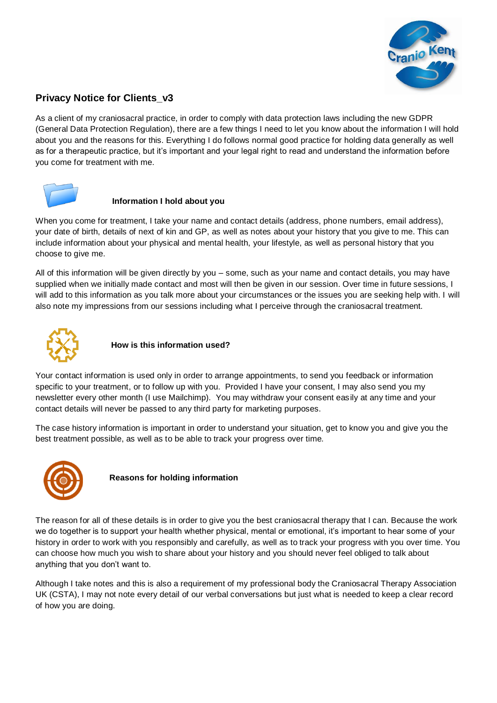

# **Privacy Notice for Clients\_v3**

As a client of my craniosacral practice, in order to comply with data protection laws including the new GDPR (General Data Protection Regulation), there are a few things I need to let you know about the information I will hold about you and the reasons for this. Everything I do follows normal good practice for holding data generally as well as for a therapeutic practice, but it's important and your legal right to read and understand the information before you come for treatment with me.



#### **Information I hold about you**

When you come for treatment, I take your name and contact details (address, phone numbers, email address), your date of birth, details of next of kin and GP, as well as notes about your history that you give to me. This can include information about your physical and mental health, your lifestyle, as well as personal history that you choose to give me.

All of this information will be given directly by you – some, such as your name and contact details, you may have supplied when we initially made contact and most will then be given in our session. Over time in future sessions, I will add to this information as you talk more about your circumstances or the issues you are seeking help with. I will also note my impressions from our sessions including what I perceive through the craniosacral treatment.



### **How is this information used?**

Your contact information is used only in order to arrange appointments, to send you feedback or information specific to your treatment, or to follow up with you. Provided I have your consent, I may also send you my newsletter every other month (I use Mailchimp). You may withdraw your consent easily at any time and your contact details will never be passed to any third party for marketing purposes.

The case history information is important in order to understand your situation, get to know you and give you the best treatment possible, as well as to be able to track your progress over time.



 **Reasons for holding information**

The reason for all of these details is in order to give you the best craniosacral therapy that I can. Because the work we do together is to support your health whether physical, mental or emotional, it's important to hear some of your history in order to work with you responsibly and carefully, as well as to track your progress with you over time. You can choose how much you wish to share about your history and you should never feel obliged to talk about anything that you don't want to.

Although I take notes and this is also a requirement of my professional body the Craniosacral Therapy Association UK (CSTA), I may not note every detail of our verbal conversations but just what is needed to keep a clear record of how you are doing.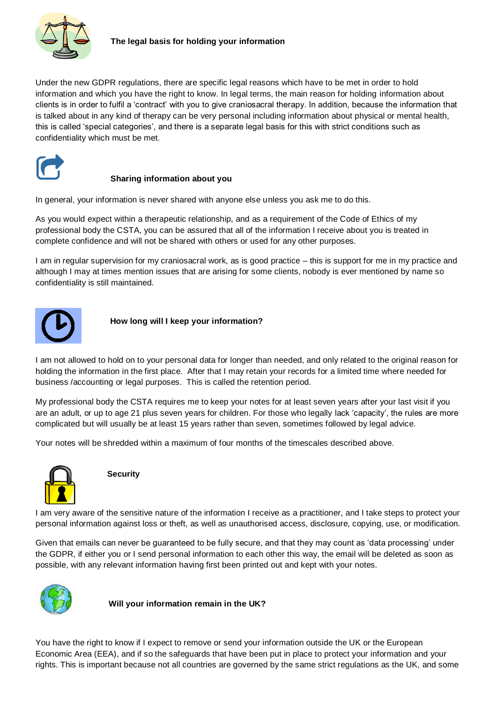

Under the new GDPR regulations, there are specific legal reasons which have to be met in order to hold information and which you have the right to know. In legal terms, the main reason for holding information about clients is in order to fulfil a 'contract' with you to give craniosacral therapy. In addition, because the information that is talked about in any kind of therapy can be very personal including information about physical or mental health, this is called 'special categories', and there is a separate legal basis for this with strict conditions such as confidentiality which must be met.



### **Sharing information about you**

In general, your information is never shared with anyone else unless you ask me to do this.

As you would expect within a therapeutic relationship, and as a requirement of the Code of Ethics of my professional body the CSTA, you can be assured that all of the information I receive about you is treated in complete confidence and will not be shared with others or used for any other purposes.

I am in regular supervision for my craniosacral work, as is good practice – this is support for me in my practice and although I may at times mention issues that are arising for some clients, nobody is ever mentioned by name so confidentiality is still maintained.



 **How long will I keep your information?**

I am not allowed to hold on to your personal data for longer than needed, and only related to the original reason for holding the information in the first place. After that I may retain your records for a limited time where needed for business /accounting or legal purposes. This is called the retention period.

My professional body the CSTA requires me to keep your notes for at least seven years after your last visit if you are an adult, or up to age 21 plus seven years for children. For those who legally lack 'capacity', the rules are more complicated but will usually be at least 15 years rather than seven, sometimes followed by legal advice.

Your notes will be shredded within a maximum of four months of the timescales described above.



#### **Security**

I am very aware of the sensitive nature of the information I receive as a practitioner, and I take steps to protect your personal information against loss or theft, as well as unauthorised access, disclosure, copying, use, or modification.

Given that emails can never be guaranteed to be fully secure, and that they may count as 'data processing' under the GDPR, if either you or I send personal information to each other this way, the email will be deleted as soon as possible, with any relevant information having first been printed out and kept with your notes.



 **Will your information remain in the UK?**

You have the right to know if I expect to remove or send your information outside the UK or the European Economic Area (EEA), and if so the safeguards that have been put in place to protect your information and your rights. This is important because not all countries are governed by the same strict regulations as the UK, and some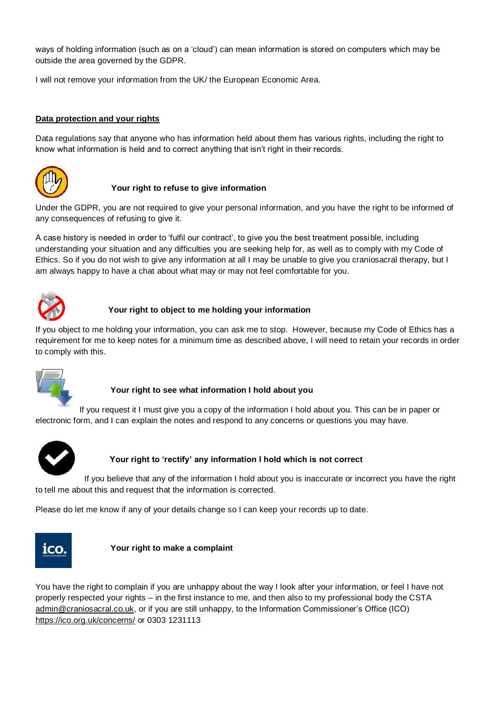ways of holding information (such as on a 'cloud') can mean information is stored on computers which may be outside the area governed by the GDPR.

I will not remove your information from the UK/ the European Economic Area.

### **Data protection and your rights**

Data regulations say that anyone who has information held about them has various rights, including the right to know what information is held and to correct anything that isn't right in their records.



# **Your right to refuse to give information**

Under the GDPR, you are not required to give your personal information, and you have the right to be informed of any consequences of refusing to give it.

A case history is needed in order to 'fulfil our contract', to give you the best treatment possible, including understanding your situation and any difficulties you are seeking help for, as well as to comply with my Code of Ethics. So if you do not wish to give any information at all I may be unable to give you craniosacral therapy, but I am always happy to have a chat about what may or may not feel comfortable for you.



# **Your right to object to me holding your information**

If you object to me holding your information, you can ask me to stop. However, because my Code of Ethics has a requirement for me to keep notes for a minimum time as described above, I will need to retain your records in order to comply with this.



# **Your right to see what information I hold about you**

If you request it I must give you a copy of the information I hold about you. This can be in paper or electronic form, and I can explain the notes and respond to any concerns or questions you may have.



# **Your right to 'rectify' any information I hold which is not correct**

If you believe that any of the information I hold about you is inaccurate or incorrect you have the right to tell me about this and request that the information is corrected.

Please do let me know if any of your details change so I can keep your records up to date.



#### **Your right to make a complaint**

You have the right to complain if you are unhappy about the way I look after your information, or feel I have not properly respected your rights – in the first instance to me, and then also to my professional body the CSTA [admin@craniosacral.co.uk,](mailto:admin@craniosacral.co.uk) or if you are still unhappy, to the Information Commissioner's Office (ICO) <https://ico.org.uk/concerns/> or 0303 1231113